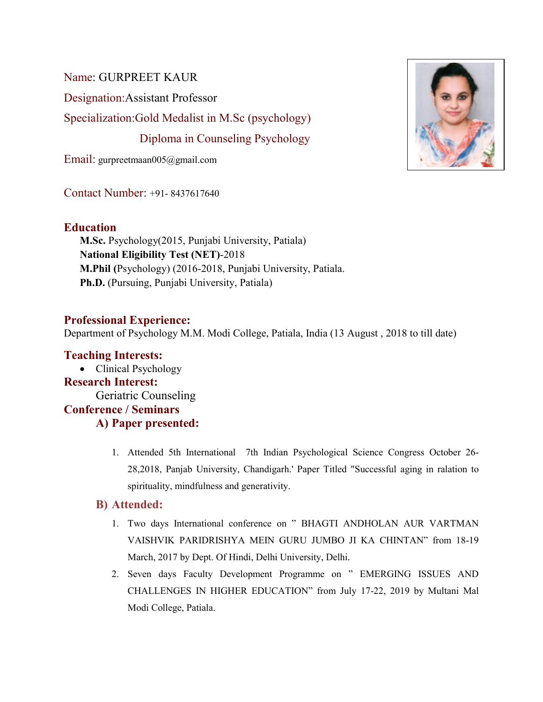Name: GURPREET KAUR

Designation:Assistant Professor

Specialization:Gold Medalist in M.Sc (psychology)

Diploma in Counseling Psychology

Email: gurpreetmaan005@gmail.com

Contact Number: +91- 8437617640

# **Education**

**M.Sc.** Psychology(2015, Punjabi University, Patiala) **National Eligibility Test (NET)**-2018 **M.Phil (**Psychology) (2016-2018, Punjabi University, Patiala. **Ph.D.** (Pursuing, Punjabi University, Patiala)

## **Professional Experience:**

Department of Psychology M.M. Modi College, Patiala, India (13 August , 2018 to till date)

# **Teaching Interests:**  • Clinical Psychology **Research Interest:**  Geriatric Counseling **Conference / Seminars A) Paper presented:**

1. Attended 5th International 7th Indian Psychological Science Congress October 26- 28,2018, Panjab University, Chandigarh.' Paper Titled "Successful aging in ralation to spirituality, mindfulness and generativity.

## **B) Attended:**

- 1. Two days International conference on " BHAGTI ANDHOLAN AUR VARTMAN VAISHVIK PARIDRISHYA MEIN GURU JUMBO JI KA CHINTAN" from 18-19 March, 2017 by Dept. Of Hindi, Delhi University, Delhi.
- 2. Seven days Faculty Development Programme on " EMERGING ISSUES AND CHALLENGES IN HIGHER EDUCATION" from July 17-22, 2019 by Multani Mal Modi College, Patiala.